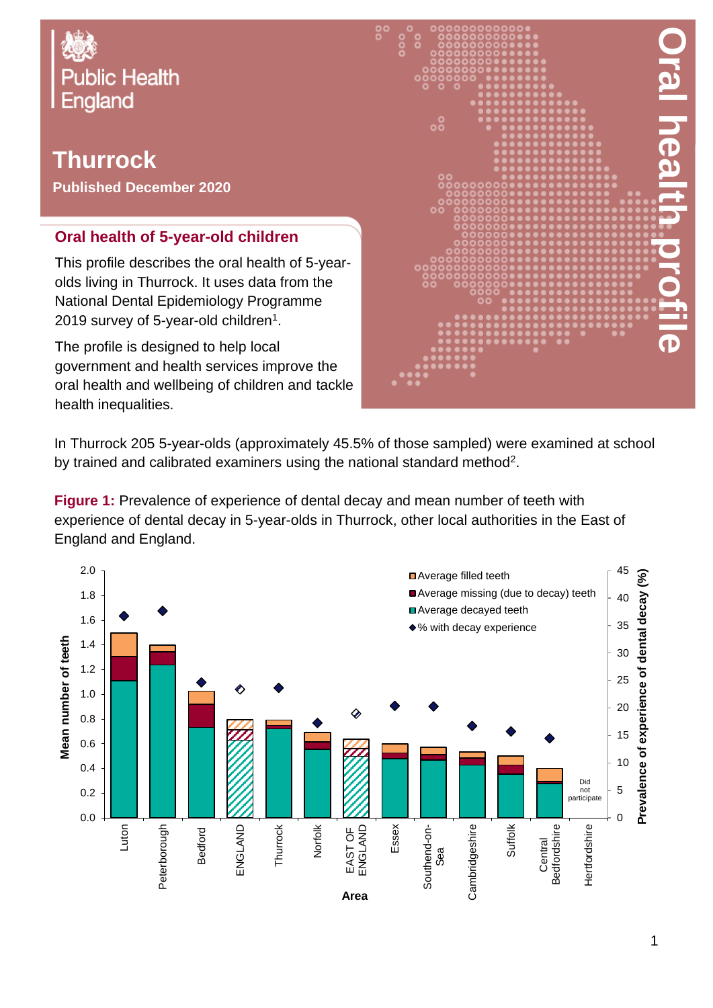

## **Thurrock**

**Published December 2020**

## **Oral health of 5-year-old children**

This profile describes the oral health of 5-yearolds living in Thurrock. It uses data from the National Dental Epidemiology Programme 2019 survey of 5-year-old children $^{\rm 1}.$ 

The profile is designed to help local government and health services improve the oral health and wellbeing of children and tackle health inequalities.



In Thurrock 205 5-year-olds (approximately 45.5% of those sampled) were examined at school by trained and calibrated examiners using the national standard method<sup>2</sup>.

**Figure 1:** Prevalence of experience of dental decay and mean number of teeth with experience of dental decay in 5-year-olds in Thurrock, other local authorities in the East of England and England.

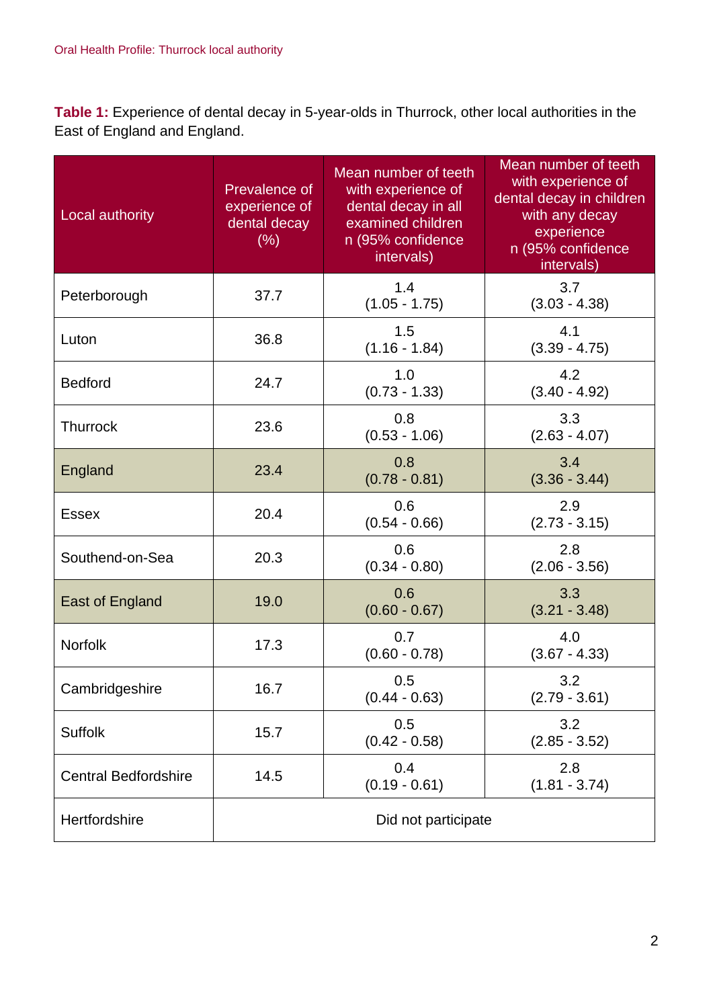**Table 1:** Experience of dental decay in 5-year-olds in Thurrock, other local authorities in the East of England and England.

| Local authority             | Prevalence of<br>experience of<br>dental decay<br>(% ) | Mean number of teeth<br>with experience of<br>dental decay in all<br>examined children<br>n (95% confidence<br>intervals) | Mean number of teeth<br>with experience of<br>dental decay in children<br>with any decay<br>experience<br>n (95% confidence<br>intervals) |  |
|-----------------------------|--------------------------------------------------------|---------------------------------------------------------------------------------------------------------------------------|-------------------------------------------------------------------------------------------------------------------------------------------|--|
| Peterborough                | 37.7                                                   | 1.4<br>$(1.05 - 1.75)$                                                                                                    | 3.7<br>$(3.03 - 4.38)$                                                                                                                    |  |
| Luton                       | 36.8                                                   | 1.5<br>$(1.16 - 1.84)$                                                                                                    | 4.1<br>$(3.39 - 4.75)$                                                                                                                    |  |
| <b>Bedford</b>              | 24.7                                                   | 1.0<br>$(0.73 - 1.33)$                                                                                                    | 4.2<br>$(3.40 - 4.92)$                                                                                                                    |  |
| <b>Thurrock</b>             | 23.6                                                   | 0.8<br>$(0.53 - 1.06)$                                                                                                    | 3.3<br>$(2.63 - 4.07)$                                                                                                                    |  |
| England                     | 23.4                                                   | 0.8<br>$(0.78 - 0.81)$                                                                                                    | 3.4<br>$(3.36 - 3.44)$                                                                                                                    |  |
| <b>Essex</b>                | 20.4                                                   | 0.6<br>$(0.54 - 0.66)$                                                                                                    | 2.9<br>$(2.73 - 3.15)$                                                                                                                    |  |
| Southend-on-Sea             | 20.3                                                   | 0.6<br>$(0.34 - 0.80)$                                                                                                    | 2.8<br>$(2.06 - 3.56)$                                                                                                                    |  |
| East of England             | 19.0                                                   | 0.6<br>$(0.60 - 0.67)$                                                                                                    | 3.3<br>$(3.21 - 3.48)$                                                                                                                    |  |
| <b>Norfolk</b>              | 17.3                                                   | 0.7<br>$(0.60 - 0.78)$                                                                                                    | 4.0<br>$(3.67 - 4.33)$                                                                                                                    |  |
| Cambridgeshire              | 16.7                                                   | 0.5<br>$(0.44 - 0.63)$                                                                                                    | 3.2<br>$(2.79 - 3.61)$                                                                                                                    |  |
| Suffolk                     | 15.7                                                   | 0.5<br>$(0.42 - 0.58)$                                                                                                    | 3.2<br>$(2.85 - 3.52)$                                                                                                                    |  |
| <b>Central Bedfordshire</b> | 14.5                                                   | 0.4<br>$(0.19 - 0.61)$                                                                                                    | 2.8<br>$(1.81 - 3.74)$                                                                                                                    |  |
| Hertfordshire               |                                                        | Did not participate                                                                                                       |                                                                                                                                           |  |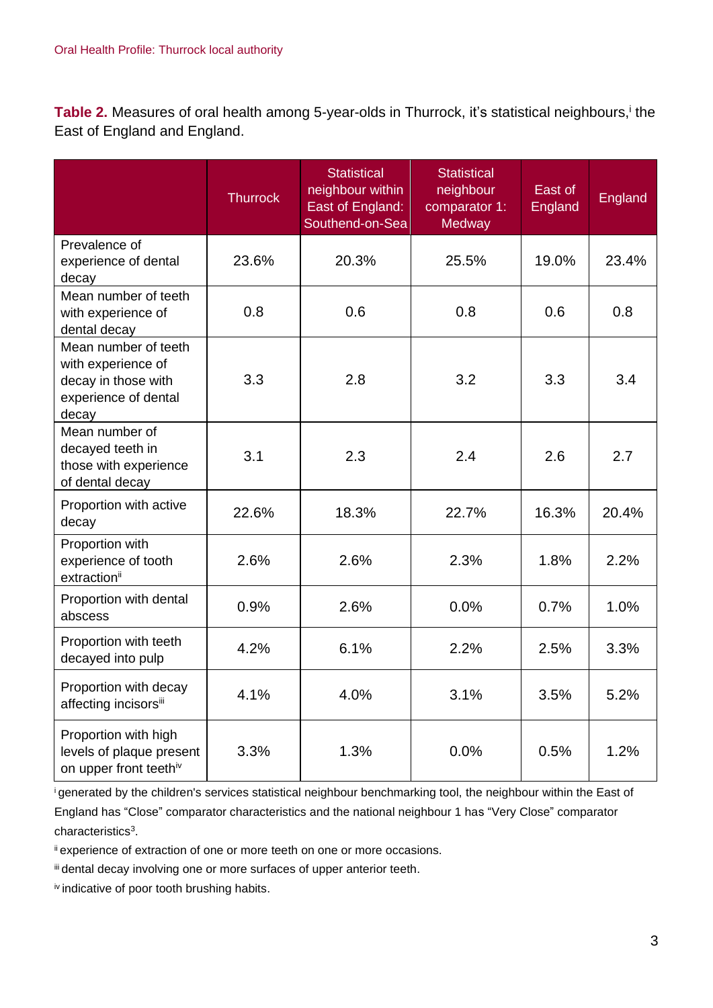Table 2. Measures of oral health among 5-year-olds in Thurrock, it's statistical neighbours,<sup>i</sup> the East of England and England.

|                                                                                                    | <b>Thurrock</b> | <b>Statistical</b><br>neighbour within<br>East of England:<br>Southend-on-Sea | Statistical<br>neighbour<br>comparator 1:<br>Medway | East of<br>England | England |
|----------------------------------------------------------------------------------------------------|-----------------|-------------------------------------------------------------------------------|-----------------------------------------------------|--------------------|---------|
| Prevalence of<br>experience of dental<br>decay                                                     | 23.6%           | 20.3%                                                                         | 25.5%                                               | 19.0%              | 23.4%   |
| Mean number of teeth<br>with experience of<br>dental decay                                         | 0.8             | 0.6                                                                           | 0.8                                                 | 0.6                | 0.8     |
| Mean number of teeth<br>with experience of<br>decay in those with<br>experience of dental<br>decay | 3.3             | 2.8                                                                           | 3.2                                                 | 3.3                | 3.4     |
| Mean number of<br>decayed teeth in<br>those with experience<br>of dental decay                     | 3.1             | 2.3                                                                           | 2.4                                                 | 2.6                | 2.7     |
| Proportion with active<br>decay                                                                    | 22.6%           | 18.3%                                                                         | 22.7%                                               | 16.3%              | 20.4%   |
| Proportion with<br>experience of tooth<br>extractionii                                             | 2.6%            | 2.6%                                                                          | 2.3%                                                | 1.8%               | 2.2%    |
| Proportion with dental<br>abscess                                                                  | 0.9%            | 2.6%                                                                          | 0.0%                                                | 0.7%               | 1.0%    |
| Proportion with teeth<br>decayed into pulp                                                         | 4.2%            | 6.1%                                                                          | 2.2%                                                | 2.5%               | 3.3%    |
| Proportion with decay<br>affecting incisorsiii                                                     | 4.1%            | 4.0%                                                                          | 3.1%                                                | 3.5%               | 5.2%    |
| Proportion with high<br>levels of plaque present<br>on upper front teethiv                         | 3.3%            | 1.3%                                                                          | 0.0%                                                | 0.5%               | 1.2%    |

<sup>i</sup>generated by the children's services statistical neighbour benchmarking tool, the neighbour within the East of England has "Close" comparator characteristics and the national neighbour 1 has "Very Close" comparator characteristics<sup>3</sup>.

ii experience of extraction of one or more teeth on one or more occasions.

iii dental decay involving one or more surfaces of upper anterior teeth.

iv indicative of poor tooth brushing habits.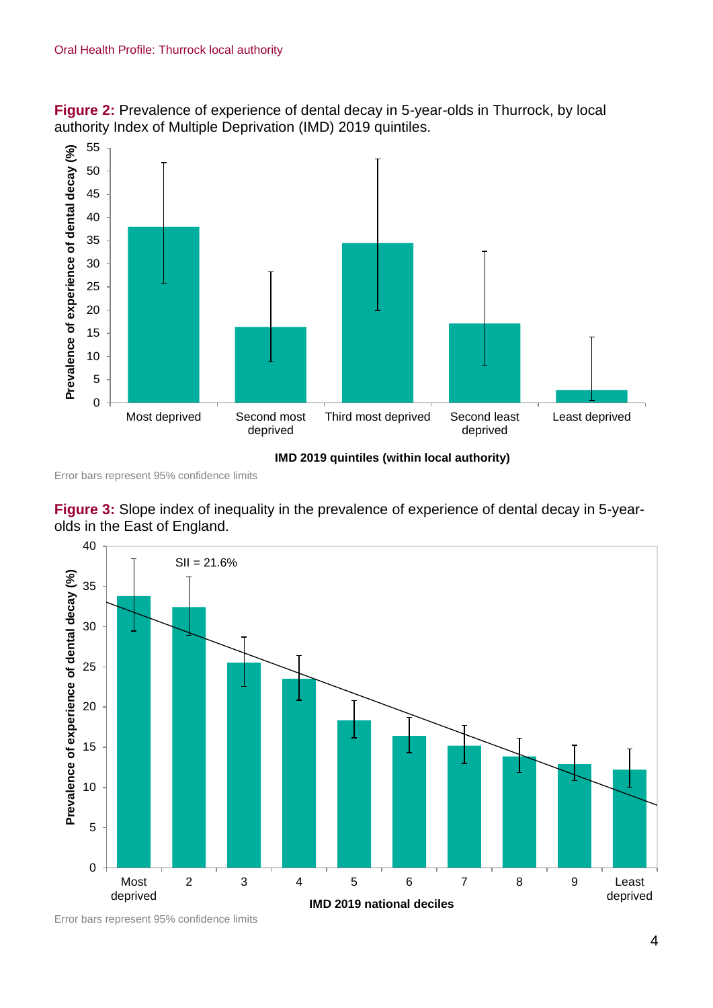



Error bars represent 95% confidence limits





Error bars represent 95% confidence limits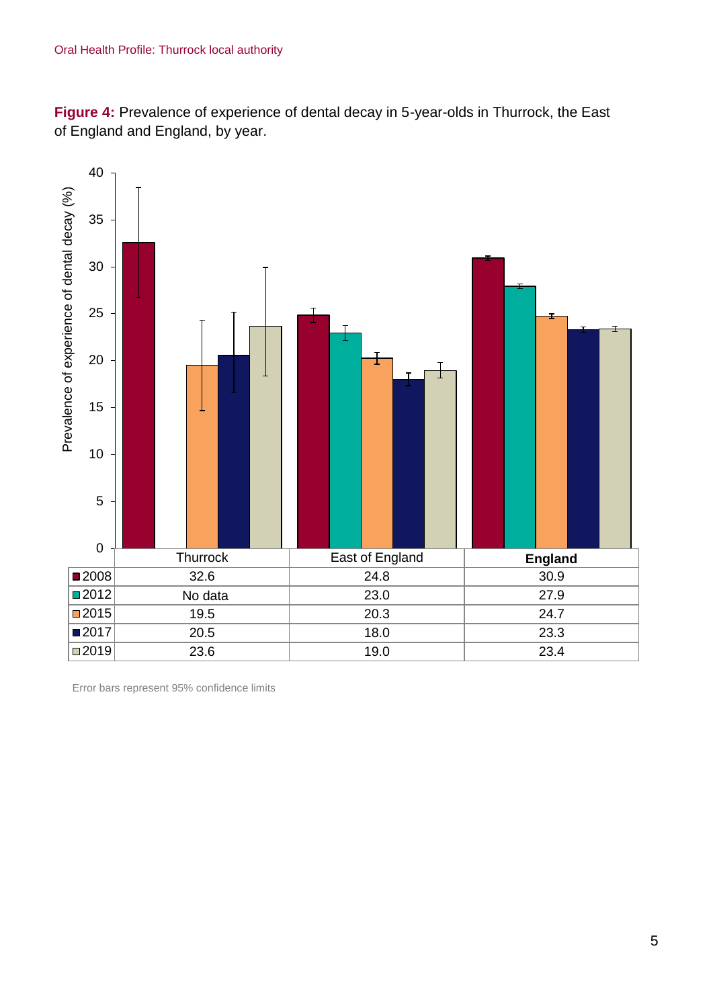**Figure 4:** Prevalence of experience of dental decay in 5-year-olds in Thurrock, the East of England and England, by year.



Error bars represent 95% confidence limits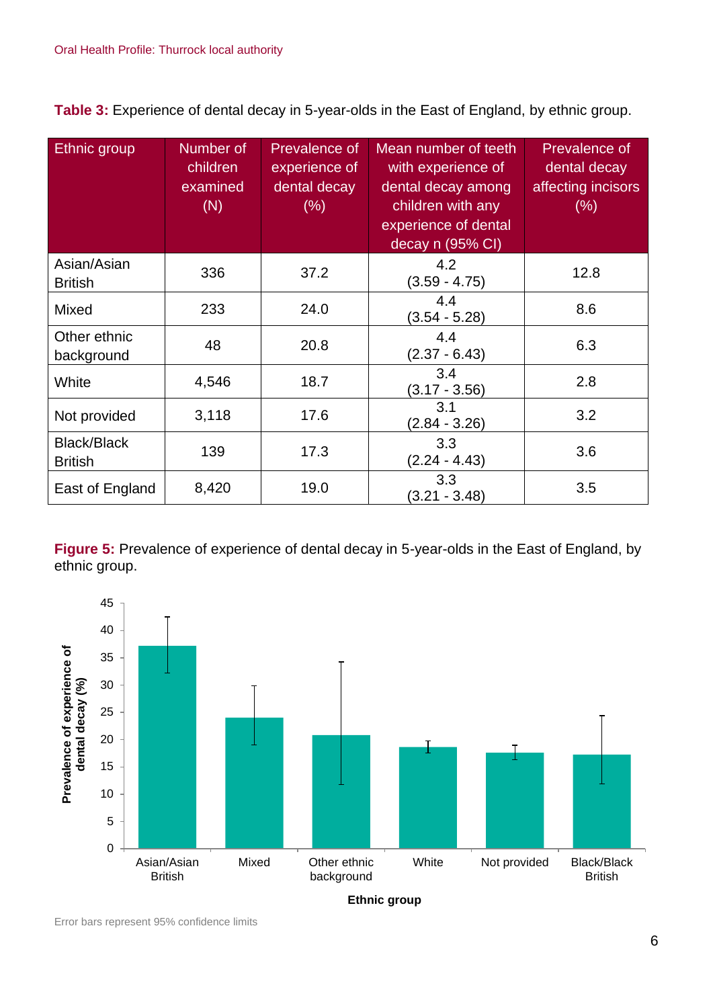**Table 3:** Experience of dental decay in 5-year-olds in the East of England, by ethnic group.

| Ethnic group                         | Number of<br>children<br>examined<br>(N) | <b>Prevalence of</b><br>experience of<br>dental decay<br>$(\% )$ | Mean number of teeth<br>with experience of<br>dental decay among<br>children with any<br>experience of dental<br>decay n (95% CI) | Prevalence of<br>dental decay<br>affecting incisors<br>(% ) |
|--------------------------------------|------------------------------------------|------------------------------------------------------------------|-----------------------------------------------------------------------------------------------------------------------------------|-------------------------------------------------------------|
| Asian/Asian<br><b>British</b>        | 336                                      | 37.2                                                             | 4.2<br>$(3.59 - 4.75)$                                                                                                            | 12.8                                                        |
| Mixed                                | 233                                      | 24.0                                                             | 4.4<br>$(3.54 - 5.28)$                                                                                                            | 8.6                                                         |
| Other ethnic<br>background           | 48                                       | 20.8                                                             | 4.4<br>$(2.37 - 6.43)$                                                                                                            | 6.3                                                         |
| White                                | 4,546                                    | 18.7                                                             | 3.4<br>$(3.17 - 3.56)$                                                                                                            | 2.8                                                         |
| Not provided                         | 3,118                                    | 17.6                                                             | 3.1<br>$(2.84 - 3.26)$                                                                                                            | 3.2                                                         |
| <b>Black/Black</b><br><b>British</b> | 139                                      | 17.3                                                             | 3.3<br>$(2.24 - 4.43)$                                                                                                            | 3.6                                                         |
| East of England                      | 8,420                                    | 19.0                                                             | 3.3<br>$(3.21 - 3.48)$                                                                                                            | 3.5                                                         |

**Figure 5:** Prevalence of experience of dental decay in 5-year-olds in the East of England, by ethnic group.



Error bars represent 95% confidence limits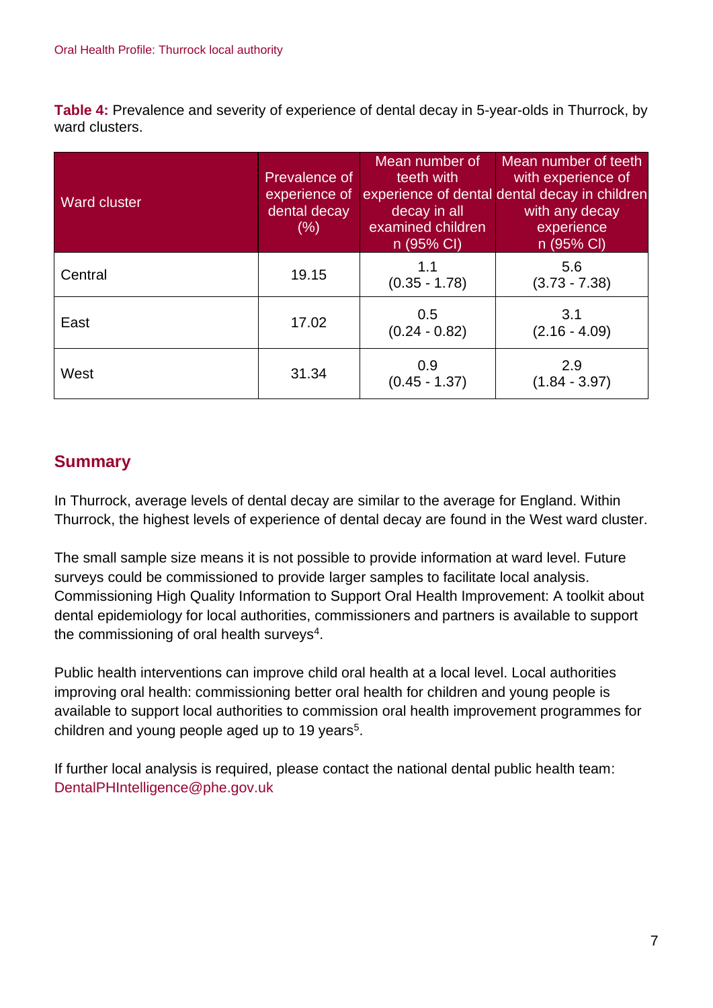**Table 4:** Prevalence and severity of experience of dental decay in 5-year-olds in Thurrock, by ward clusters.

| <b>Ward cluster</b> | Prevalence of<br>experience of<br>dental decay<br>(% ) | Mean number of<br>teeth with<br>decay in all<br>examined children<br>n (95% CI) | Mean number of teeth<br>with experience of<br>experience of dental dental decay in children<br>with any decay<br>experience<br>n (95% CI) |
|---------------------|--------------------------------------------------------|---------------------------------------------------------------------------------|-------------------------------------------------------------------------------------------------------------------------------------------|
| Central             | 19.15                                                  | 1.1<br>$(0.35 - 1.78)$                                                          | 5.6<br>$(3.73 - 7.38)$                                                                                                                    |
| East                | 17.02                                                  | 0.5<br>$(0.24 - 0.82)$                                                          | 3.1<br>$(2.16 - 4.09)$                                                                                                                    |
| West                | 31.34                                                  | 0.9<br>$(0.45 - 1.37)$                                                          | 2.9<br>$(1.84 - 3.97)$                                                                                                                    |

## **Summary**

In Thurrock, average levels of dental decay are similar to the average for England. Within Thurrock, the highest levels of experience of dental decay are found in the West ward cluster.

The small sample size means it is not possible to provide information at ward level. Future surveys could be commissioned to provide larger samples to facilitate local analysis. Commissioning High Quality Information to Support Oral Health Improvement: A toolkit about dental epidemiology for local authorities, commissioners and partners is available to support the commissioning of oral health surveys<sup>4</sup>.

Public health interventions can improve child oral health at a local level. Local authorities improving oral health: commissioning better oral health for children and young people is available to support local authorities to commission oral health improvement programmes for children and young people aged up to 19 years<sup>5</sup>.

If further local analysis is required, please contact the national dental public health team: DentalPHIntelligence@phe.gov.uk